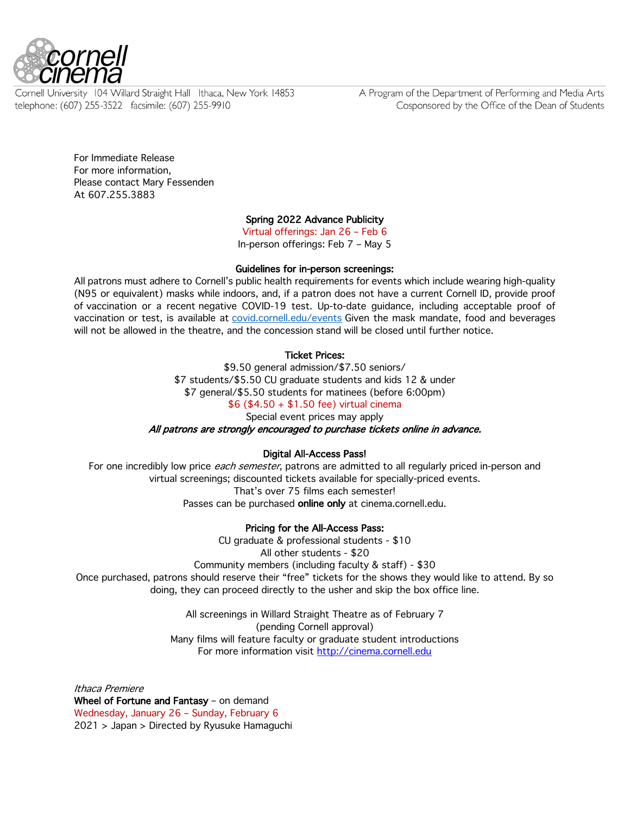

Cornell University 104 Willard Straight Hall Ithaca, New York 14853 telephone: (607) 255-3522 facsimile: (607) 255-9910

A Program of the Department of Performing and Media Arts Cosponsored by the Office of the Dean of Students

For Immediate Release For more information, Please contact Mary Fessenden At 607.255.3883

# Spring 2022 Advance Publicity

Virtual offerings: Jan 26 – Feb 6 In-person offerings: Feb 7 – May 5

Guidelines for in-person screenings: All patrons must adhere to Cornell's public health requirements for events which include wearing high-quality

(N95 or equivalent) masks while indoors, and, if a patron does not have a current Cornell ID, provide proof of vaccination or a recent negative COVID-19 test. Up-to-date guidance, including acceptable proof of vaccination or test, is available at covid.cornell.edu/events Given the mask mandate, food and beverages will not be allowed in the theatre, and the concession stand will be closed until further notice.

### Ticket Prices:

\$9.50 general admission/\$7.50 seniors/ \$7 students/\$5.50 CU graduate students and kids 12 & under \$7 general/\$5.50 students for matinees (before 6:00pm) \$6 (\$4.50 + \$1.50 fee) virtual cinema

Special event prices may apply

All patrons are strongly encouraged to purchase tickets online in advance.

#### Digital All-Access Pass!

For one incredibly low price *each semester*, patrons are admitted to all regularly priced in-person and virtual screenings; discounted tickets available for specially-priced events. That's over 75 films each semester! Passes can be purchased online only at cinema.cornell.edu.

# Pricing for the All-Access Pass:

CU graduate & professional students - \$10

All other students - \$20

Community members (including faculty & staff) - \$30

Once purchased, patrons should reserve their "free" tickets for the shows they would like to attend. By so doing, they can proceed directly to the usher and skip the box office line.

> All screenings in Willard Straight Theatre as of February 7 (pending Cornell approval) Many films will feature faculty or graduate student introductions For more information visit http://cinema.cornell.edu

Ithaca Premiere Wheel of Fortune and Fantasy - on demand Wednesday, January 26 – Sunday, February 6 2021 > Japan > Directed by Ryusuke Hamaguchi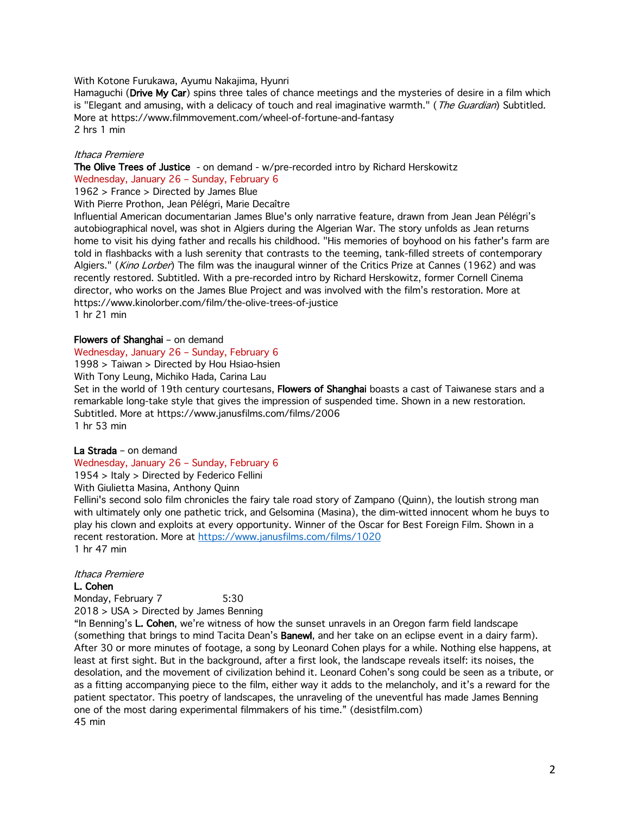With Kotone Furukawa, Ayumu Nakajima, Hyunri

Hamaguchi (Drive My Car) spins three tales of chance meetings and the mysteries of desire in a film which is "Elegant and amusing, with a delicacy of touch and real imaginative warmth." (The Guardian) Subtitled. More at https://www.filmmovement.com/wheel-of-fortune-and-fantasy 2 hrs 1 min

#### Ithaca Premiere

The Olive Trees of Justice - on demand - w/pre-recorded intro by Richard Herskowitz Wednesday, January 26 – Sunday, February 6

1962 > France > Directed by James Blue

With Pierre Prothon, Jean Pélégri, Marie Decaître

Influential American documentarian James Blue's only narrative feature, drawn from Jean Jean Pélégri's autobiographical novel, was shot in Algiers during the Algerian War. The story unfolds as Jean returns home to visit his dying father and recalls his childhood. "His memories of boyhood on his father's farm are told in flashbacks with a lush serenity that contrasts to the teeming, tank-filled streets of contemporary Algiers." (Kino Lorber) The film was the inaugural winner of the Critics Prize at Cannes (1962) and was recently restored. Subtitled. With a pre-recorded intro by Richard Herskowitz, former Cornell Cinema director, who works on the James Blue Project and was involved with the film's restoration. More at https://www.kinolorber.com/film/the-olive-trees-of-justice 1 hr 21 min

#### Flowers of Shanghai – on demand

Wednesday, January 26 – Sunday, February 6

1998 > Taiwan > Directed by Hou Hsiao-hsien

With Tony Leung, Michiko Hada, Carina Lau

Set in the world of 19th century courtesans, Flowers of Shanghai boasts a cast of Taiwanese stars and a remarkable long-take style that gives the impression of suspended time. Shown in a new restoration. Subtitled. More at https://www.janusfilms.com/films/2006 1 hr 53 min

#### La Strada – on demand

Wednesday, January 26 – Sunday, February 6

1954 > Italy > Directed by Federico Fellini

With Giulietta Masina, Anthony Quinn

Fellini's second solo film chronicles the fairy tale road story of Zampano (Quinn), the loutish strong man with ultimately only one pathetic trick, and Gelsomina (Masina), the dim-witted innocent whom he buys to play his clown and exploits at every opportunity. Winner of the Oscar for Best Foreign Film. Shown in a recent restoration. More at https://www.janusfilms.com/films/1020 1 hr 47 min

#### Ithaca Premiere

#### L. Cohen

Monday, February 7 5:30 2018 > USA > Directed by James Benning

"In Benning's L. Cohen, we're witness of how the sunset unravels in an Oregon farm field landscape (something that brings to mind Tacita Dean's Banewl, and her take on an eclipse event in a dairy farm). After 30 or more minutes of footage, a song by Leonard Cohen plays for a while. Nothing else happens, at least at first sight. But in the background, after a first look, the landscape reveals itself: its noises, the desolation, and the movement of civilization behind it. Leonard Cohen's song could be seen as a tribute, or as a fitting accompanying piece to the film, either way it adds to the melancholy, and it's a reward for the patient spectator. This poetry of landscapes, the unraveling of the uneventful has made James Benning one of the most daring experimental filmmakers of his time." (desistfilm.com) 45 min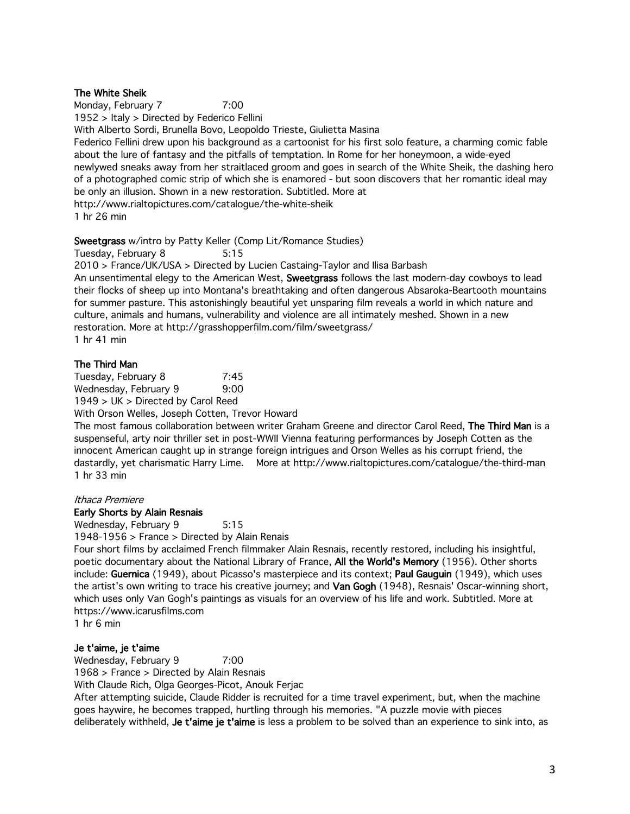# The White Sheik

Monday, February 7 7:00 1952 > Italy > Directed by Federico Fellini With Alberto Sordi, Brunella Bovo, Leopoldo Trieste, Giulietta Masina Federico Fellini drew upon his background as a cartoonist for his first solo feature, a charming comic fable about the lure of fantasy and the pitfalls of temptation. In Rome for her honeymoon, a wide-eyed newlywed sneaks away from her straitlaced groom and goes in search of the White Sheik, the dashing hero of a photographed comic strip of which she is enamored - but soon discovers that her romantic ideal may be only an illusion. Shown in a new restoration. Subtitled. More at http://www.rialtopictures.com/catalogue/the-white-sheik 1 hr 26 min

# Sweetgrass w/intro by Patty Keller (Comp Lit/Romance Studies)

Tuesday, February 8 5:15

2010 > France/UK/USA > Directed by Lucien Castaing-Taylor and Ilisa Barbash An unsentimental elegy to the American West, Sweetgrass follows the last modern-day cowboys to lead their flocks of sheep up into Montana's breathtaking and often dangerous Absaroka-Beartooth mountains for summer pasture. This astonishingly beautiful yet unsparing film reveals a world in which nature and culture, animals and humans, vulnerability and violence are all intimately meshed. Shown in a new restoration. More at http://grasshopperfilm.com/film/sweetgrass/ 1 hr 41 min

### The Third Man

Tuesday, February 8 7:45 Wednesday, February 9 9:00

1949 > UK > Directed by Carol Reed

With Orson Welles, Joseph Cotten, Trevor Howard

The most famous collaboration between writer Graham Greene and director Carol Reed, The Third Man is a suspenseful, arty noir thriller set in post-WWII Vienna featuring performances by Joseph Cotten as the innocent American caught up in strange foreign intrigues and Orson Welles as his corrupt friend, the dastardly, yet charismatic Harry Lime. More at http://www.rialtopictures.com/catalogue/the-third-man 1 hr 33 min

### Ithaca Premiere

#### Early Shorts by Alain Resnais

Wednesday, February 9 5:15

1948-1956 > France > Directed by Alain Renais

Four short films by acclaimed French filmmaker Alain Resnais, recently restored, including his insightful, poetic documentary about the National Library of France, All the World's Memory (1956). Other shorts include: Guernica (1949), about Picasso's masterpiece and its context; Paul Gauguin (1949), which uses the artist's own writing to trace his creative journey; and Van Gogh (1948), Resnais' Oscar-winning short, which uses only Van Gogh's paintings as visuals for an overview of his life and work. Subtitled. More at https://www.icarusfilms.com

1 hr 6 min

#### Je t'aime, je t'aime

Wednesday, February 9 7:00

1968 > France > Directed by Alain Resnais

With Claude Rich, Olga Georges-Picot, Anouk Ferjac

After attempting suicide, Claude Ridder is recruited for a time travel experiment, but, when the machine goes haywire, he becomes trapped, hurtling through his memories. "A puzzle movie with pieces deliberately withheld, Je t'aime je t'aime is less a problem to be solved than an experience to sink into, as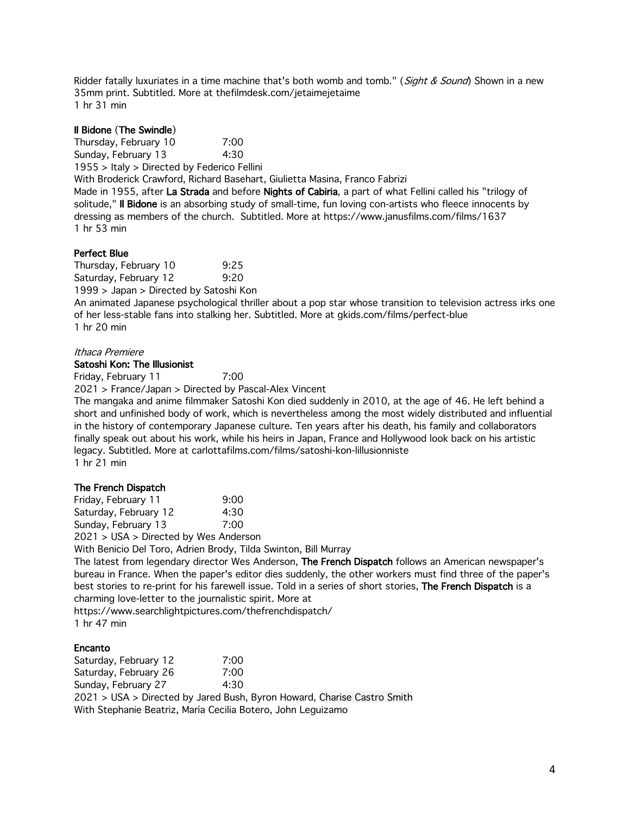Ridder fatally luxuriates in a time machine that's both womb and tomb." (Sight & Sound) Shown in a new 35mm print. Subtitled. More at thefilmdesk.com/jetaimejetaime 1 hr 31 min

# Il Bidone (The Swindle)

Thursday, February 10 7:00 Sunday, February 13 4:30 1955 > Italy > Directed by Federico Fellini With Broderick Crawford, Richard Basehart, Giulietta Masina, Franco Fabrizi Made in 1955, after La Strada and before Nights of Cabiria, a part of what Fellini called his "trilogy of

solitude," Il Bidone is an absorbing study of small-time, fun loving con-artists who fleece innocents by dressing as members of the church. Subtitled. More at https://www.janusfilms.com/films/1637 1 hr 53 min

### Perfect Blue

Thursday, February 10 9:25 Saturday, February 12 9:20 1999 > Japan > Directed by Satoshi Kon

An animated Japanese psychological thriller about a pop star whose transition to television actress irks one of her less-stable fans into stalking her. Subtitled. More at gkids.com/films/perfect-blue 1 hr 20 min

# Ithaca Premiere

#### Satoshi Kon: The Illusionist

Friday, February 11 7:00

2021 > France/Japan > Directed by Pascal-Alex Vincent

The mangaka and anime filmmaker Satoshi Kon died suddenly in 2010, at the age of 46. He left behind a short and unfinished body of work, which is nevertheless among the most widely distributed and influential in the history of contemporary Japanese culture. Ten years after his death, his family and collaborators finally speak out about his work, while his heirs in Japan, France and Hollywood look back on his artistic legacy. Subtitled. More at carlottafilms.com/films/satoshi-kon-lillusionniste 1 hr 21 min

#### The French Dispatch

Friday, February 11 9:00 Saturday, February 12 4:30 Sunday, February 13 7:00 2021 > USA > Directed by Wes Anderson With Benicio Del Toro, Adrien Brody, Tilda Swinton, Bill Murray The latest from legendary director Wes Anderson. The French Dispatch follows an American newspaper's bureau in France. When the paper's editor dies suddenly, the other workers must find three of the paper's best stories to re-print for his farewell issue. Told in a series of short stories, The French Dispatch is a charming love-letter to the journalistic spirit. More at

https://www.searchlightpictures.com/thefrenchdispatch/ 1 hr 47 min

#### Encanto

Saturday, February 12 7:00 Saturday, February 26 7:00 Sunday, February 27 4:30 2021 > USA > Directed by Jared Bush, Byron Howard, Charise Castro Smith With Stephanie Beatriz, María Cecilia Botero, John Leguizamo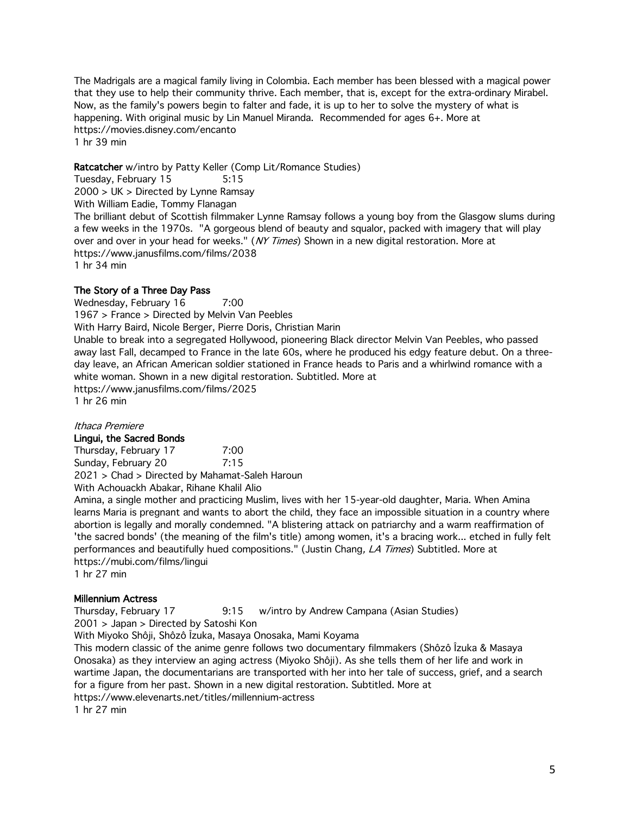The Madrigals are a magical family living in Colombia. Each member has been blessed with a magical power that they use to help their community thrive. Each member, that is, except for the extra-ordinary Mirabel. Now, as the family's powers begin to falter and fade, it is up to her to solve the mystery of what is happening. With original music by Lin Manuel Miranda. Recommended for ages 6+. More at https://movies.disney.com/encanto 1 hr 39 min

Ratcatcher w/intro by Patty Keller (Comp Lit/Romance Studies) Tuesday, February 15 5:15 2000 > UK > Directed by Lynne Ramsay With William Eadie, Tommy Flanagan The brilliant debut of Scottish filmmaker Lynne Ramsay follows a young boy from the Glasgow slums during a few weeks in the 1970s. "A gorgeous blend of beauty and squalor, packed with imagery that will play over and over in your head for weeks." (NY Times) Shown in a new digital restoration. More at https://www.janusfilms.com/films/2038 1 hr 34 min

# The Story of a Three Day Pass

Wednesday, February 16 7:00 1967 > France > Directed by Melvin Van Peebles With Harry Baird, Nicole Berger, Pierre Doris, Christian Marin Unable to break into a segregated Hollywood, pioneering Black director Melvin Van Peebles, who passed away last Fall, decamped to France in the late 60s, where he produced his edgy feature debut. On a threeday leave, an African American soldier stationed in France heads to Paris and a whirlwind romance with a white woman. Shown in a new digital restoration. Subtitled. More at https://www.janusfilms.com/films/2025 1 hr 26 min

#### Ithaca Premiere

#### Lingui, the Sacred Bonds

Thursday, February 17 7:00 Sunday, February 20 7:15 2021 > Chad > Directed by Mahamat-Saleh Haroun With Achouackh Abakar, Rihane Khalil Alio

Amina, a single mother and practicing Muslim, lives with her 15-year-old daughter, Maria. When Amina learns Maria is pregnant and wants to abort the child, they face an impossible situation in a country where abortion is legally and morally condemned. "A blistering attack on patriarchy and a warm reaffirmation of 'the sacred bonds' (the meaning of the film's title) among women, it's a bracing work... etched in fully felt performances and beautifully hued compositions." (Justin Chang, LA Times) Subtitled. More at https://mubi.com/films/lingui 1 hr 27 min

# Millennium Actress

Thursday, February 17 9:15 w/intro by Andrew Campana (Asian Studies) 2001 > Japan > Directed by Satoshi Kon

With Miyoko Shôji, Shôzô Îzuka, Masaya Onosaka, Mami Koyama

This modern classic of the anime genre follows two documentary filmmakers (Shôzô Îzuka & Masaya Onosaka) as they interview an aging actress (Miyoko Shôji). As she tells them of her life and work in wartime Japan, the documentarians are transported with her into her tale of success, grief, and a search for a figure from her past. Shown in a new digital restoration. Subtitled. More at

https://www.elevenarts.net/titles/millennium-actress

1 hr 27 min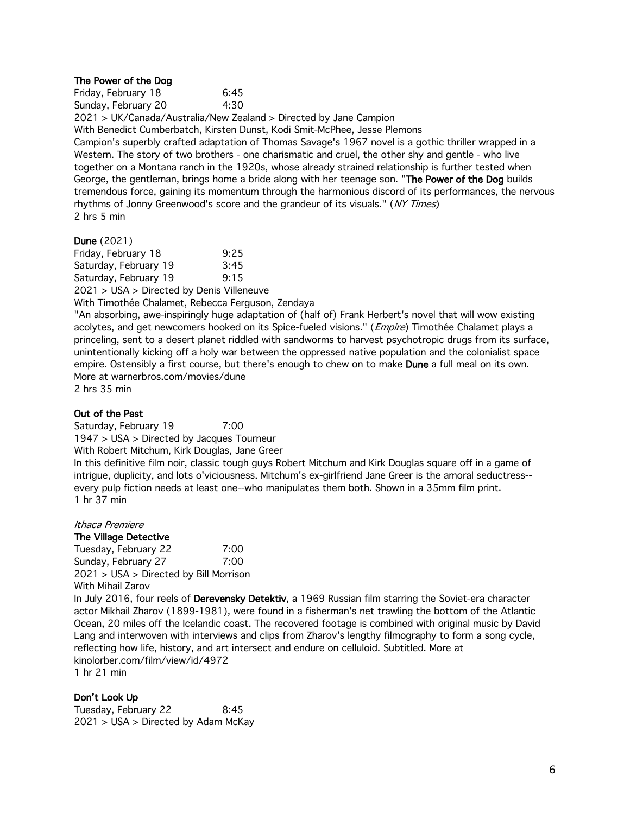#### The Power of the Dog

| Friday, February 18 | 6:45 |
|---------------------|------|
| Sunday, February 20 | 4:30 |

2021 > UK/Canada/Australia/New Zealand > Directed by Jane Campion

With Benedict Cumberbatch, Kirsten Dunst, Kodi Smit-McPhee, Jesse Plemons

Campion's superbly crafted adaptation of Thomas Savage's 1967 novel is a gothic thriller wrapped in a Western. The story of two brothers - one charismatic and cruel, the other shy and gentle - who live together on a Montana ranch in the 1920s, whose already strained relationship is further tested when George, the gentleman, brings home a bride along with her teenage son. "The Power of the Dog builds tremendous force, gaining its momentum through the harmonious discord of its performances, the nervous rhythms of Jonny Greenwood's score and the grandeur of its visuals." (NY Times) 2 hrs 5 min

#### Dune (2021)

Friday, February 18 9:25 Saturday, February 19 3:45 Saturday, February 19 9:15 2021 > USA > Directed by Denis Villeneuve

With Timothée Chalamet, Rebecca Ferguson, Zendaya

"An absorbing, awe-inspiringly huge adaptation of (half of) Frank Herbert's novel that will wow existing acolytes, and get newcomers hooked on its Spice-fueled visions." (*Empire*) Timothée Chalamet plays a princeling, sent to a desert planet riddled with sandworms to harvest psychotropic drugs from its surface, unintentionally kicking off a holy war between the oppressed native population and the colonialist space empire. Ostensibly a first course, but there's enough to chew on to make **Dune** a full meal on its own. More at warnerbros.com/movies/dune 2 hrs 35 min

#### Out of the Past

Saturday, February 19 7:00 1947 > USA > Directed by Jacques Tourneur With Robert Mitchum, Kirk Douglas, Jane Greer In this definitive film noir, classic tough guys Robert Mitchum and Kirk Douglas square off in a game of intrigue, duplicity, and lots o'viciousness. Mitchum's ex-girlfriend Jane Greer is the amoral seductress- every pulp fiction needs at least one--who manipulates them both. Shown in a 35mm film print. 1 hr 37 min

#### Ithaca Premiere

# The Village Detective

Tuesday, February 22 7:00 Sunday, February 27 7:00 2021 > USA > Directed by Bill Morrison With Mihail Zarov

In July 2016, four reels of Derevensky Detektiv, a 1969 Russian film starring the Soviet-era character actor Mikhail Zharov (1899-1981), were found in a fisherman's net trawling the bottom of the Atlantic Ocean, 20 miles off the Icelandic coast. The recovered footage is combined with original music by David Lang and interwoven with interviews and clips from Zharov's lengthy filmography to form a song cycle, reflecting how life, history, and art intersect and endure on celluloid. Subtitled. More at kinolorber.com/film/view/id/4972 1 hr 21 min

Don't Look Up Tuesday, February 22 8:45 2021 > USA > Directed by Adam McKay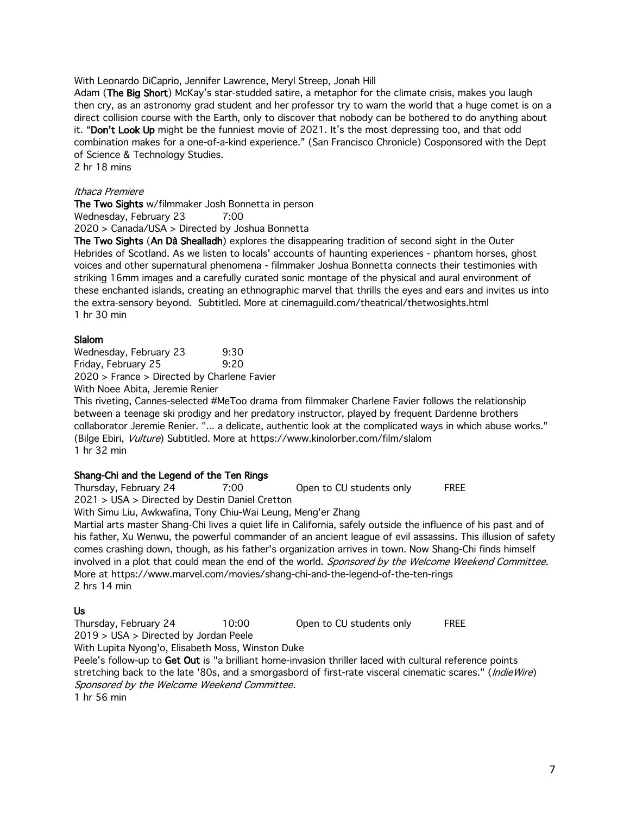With Leonardo DiCaprio, Jennifer Lawrence, Meryl Streep, Jonah Hill

Adam (The Big Short) McKay's star-studded satire, a metaphor for the climate crisis, makes you laugh then cry, as an astronomy grad student and her professor try to warn the world that a huge comet is on a direct collision course with the Earth, only to discover that nobody can be bothered to do anything about it. "Don't Look Up might be the funniest movie of 2021. It's the most depressing too, and that odd combination makes for a one-of-a-kind experience." (San Francisco Chronicle) Cosponsored with the Dept of Science & Technology Studies.

2 hr 18 mins

#### Ithaca Premiere

The Two Sights w/filmmaker Josh Bonnetta in person

Wednesday, February 23 7:00

2020 > Canada/USA > Directed by Joshua Bonnetta

The Two Sights (An Dà Shealladh) explores the disappearing tradition of second sight in the Outer Hebrides of Scotland. As we listen to locals' accounts of haunting experiences - phantom horses, ghost voices and other supernatural phenomena - filmmaker Joshua Bonnetta connects their testimonies with striking 16mm images and a carefully curated sonic montage of the physical and aural environment of these enchanted islands, creating an ethnographic marvel that thrills the eyes and ears and invites us into the extra-sensory beyond. Subtitled. More at cinemaguild.com/theatrical/thetwosights.html 1 hr 30 min

### Slalom

Wednesday, February 23 9:30 Friday, February 25 9:20 2020 > France > Directed by Charlene Favier

With Noee Abita, Jeremie Renier

This riveting, Cannes-selected #MeToo drama from filmmaker Charlene Favier follows the relationship between a teenage ski prodigy and her predatory instructor, played by frequent Dardenne brothers collaborator Jeremie Renier. "... a delicate, authentic look at the complicated ways in which abuse works." (Bilge Ebiri, Vulture) Subtitled. More at https://www.kinolorber.com/film/slalom 1 hr 32 min

# Shang-Chi and the Legend of the Ten Rings

Thursday, February 24 7:00 Open to CU students only FREE

2021 > USA > Directed by Destin Daniel Cretton

With Simu Liu, Awkwafina, Tony Chiu-Wai Leung, Meng'er Zhang

Martial arts master Shang-Chi lives a quiet life in California, safely outside the influence of his past and of his father, Xu Wenwu, the powerful commander of an ancient league of evil assassins. This illusion of safety comes crashing down, though, as his father's organization arrives in town. Now Shang-Chi finds himself involved in a plot that could mean the end of the world. Sponsored by the Welcome Weekend Committee. More at https://www.marvel.com/movies/shang-chi-and-the-legend-of-the-ten-rings 2 hrs 14 min

# Us

Thursday, February 24 10:00 Open to CU students only FREE

2019 > USA > Directed by Jordan Peele

With Lupita Nyong'o, Elisabeth Moss, Winston Duke

Peele's follow-up to Get Out is "a brilliant home-invasion thriller laced with cultural reference points stretching back to the late '80s, and a smorgasbord of first-rate visceral cinematic scares." (*IndieWire*) Sponsored by the Welcome Weekend Committee. 1 hr 56 min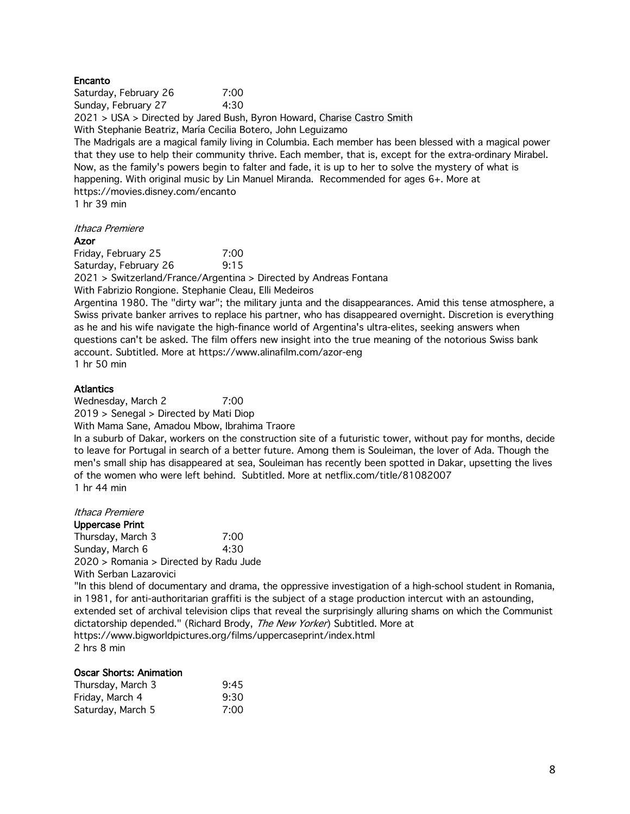#### Encanto

Saturday, February 26 7:00 Sunday, February 27 4:30

2021 > USA > Directed by Jared Bush, Byron Howard, Charise Castro Smith With Stephanie Beatriz, María Cecilia Botero, John Leguizamo

The Madrigals are a magical family living in Columbia. Each member has been blessed with a magical power that they use to help their community thrive. Each member, that is, except for the extra-ordinary Mirabel. Now, as the family's powers begin to falter and fade, it is up to her to solve the mystery of what is happening. With original music by Lin Manuel Miranda. Recommended for ages 6+. More at https://movies.disney.com/encanto

1 hr 39 min

Ithaca Premiere

#### Azor

Friday, February 25 7:00 Saturday, February 26 9:15 2021 > Switzerland/France/Argentina > Directed by Andreas Fontana With Fabrizio Rongione. Stephanie Cleau, Elli Medeiros Argentina 1980. The "dirty war"; the military junta and the disappearances. Amid this tense atmosphere, a Swiss private banker arrives to replace his partner, who has disappeared overnight. Discretion is everything as he and his wife navigate the high-finance world of Argentina's ultra-elites, seeking answers when questions can't be asked. The film offers new insight into the true meaning of the notorious Swiss bank account. Subtitled. More at https://www.alinafilm.com/azor-eng 1 hr 50 min

### **Atlantics**

Wednesday, March 2 7:00 2019 > Senegal > Directed by Mati Diop With Mama Sane, Amadou Mbow, Ibrahima Traore In a suburb of Dakar, workers on the construction site of a futuristic tower, without pay for months, decide to leave for Portugal in search of a better future. Among them is Souleiman, the lover of Ada. Though the men's small ship has disappeared at sea, Souleiman has recently been spotted in Dakar, upsetting the lives of the women who were left behind. Subtitled. More at netflix.com/title/81082007 1 hr 44 min

#### Ithaca Premiere

Uppercase Print Thursday, March 3 7:00 Sunday, March 6 4:30 2020 > Romania > Directed by Radu Jude With Serban Lazarovici

"In this blend of documentary and drama, the oppressive investigation of a high-school student in Romania, in 1981, for anti-authoritarian graffiti is the subject of a stage production intercut with an astounding, extended set of archival television clips that reveal the surprisingly alluring shams on which the Communist dictatorship depended." (Richard Brody, The New Yorker) Subtitled. More at https://www.bigworldpictures.org/films/uppercaseprint/index.html 2 hrs 8 min

#### Oscar Shorts: Animation

| Thursday, March 3 | 9:45 |
|-------------------|------|
| Friday, March 4   | 9:30 |
| Saturday, March 5 | 7:00 |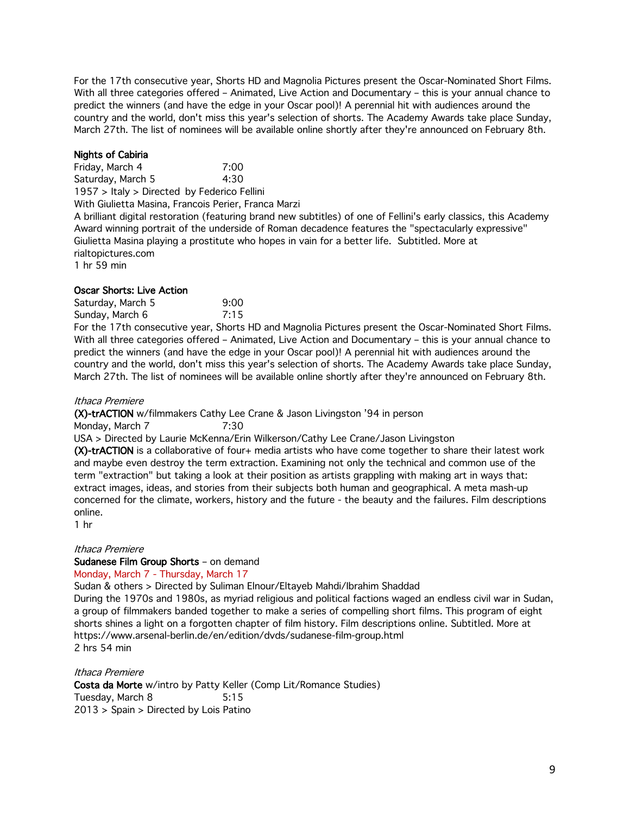For the 17th consecutive year, Shorts HD and Magnolia Pictures present the Oscar-Nominated Short Films. With all three categories offered – Animated, Live Action and Documentary – this is your annual chance to predict the winners (and have the edge in your Oscar pool)! A perennial hit with audiences around the country and the world, don't miss this year's selection of shorts. The Academy Awards take place Sunday, March 27th. The list of nominees will be available online shortly after they're announced on February 8th.

# Nights of Cabiria

Friday, March 4 7:00 Saturday, March 5 4:30 1957 > Italy > Directed by Federico Fellini With Giulietta Masina, Francois Perier, Franca Marzi A brilliant digital restoration (featuring brand new subtitles) of one of Fellini's early classics, this Academy Award winning portrait of the underside of Roman decadence features the "spectacularly expressive" Giulietta Masina playing a prostitute who hopes in vain for a better life. Subtitled. More at rialtopictures.com 1 hr 59 min

# Oscar Shorts: Live Action

Saturday, March 5 9:00 Sunday, March 6 7:15

For the 17th consecutive year, Shorts HD and Magnolia Pictures present the Oscar-Nominated Short Films. With all three categories offered – Animated, Live Action and Documentary – this is your annual chance to predict the winners (and have the edge in your Oscar pool)! A perennial hit with audiences around the country and the world, don't miss this year's selection of shorts. The Academy Awards take place Sunday, March 27th. The list of nominees will be available online shortly after they're announced on February 8th.

### Ithaca Premiere

(X)-trACTION w/filmmakers Cathy Lee Crane & Jason Livingston '94 in person Monday, March 7 7:30

USA > Directed by Laurie McKenna/Erin Wilkerson/Cathy Lee Crane/Jason Livingston

(X)-trACTION is a collaborative of four+ media artists who have come together to share their latest work and maybe even destroy the term extraction. Examining not only the technical and common use of the term "extraction" but taking a look at their position as artists grappling with making art in ways that: extract images, ideas, and stories from their subjects both human and geographical. A meta mash-up concerned for the climate, workers, history and the future - the beauty and the failures. Film descriptions online.

1 hr

# Ithaca Premiere

#### Sudanese Film Group Shorts – on demand

#### Monday, March 7 - Thursday, March 17

Sudan & others > Directed by Suliman Elnour/Eltayeb Mahdi/Ibrahim Shaddad

During the 1970s and 1980s, as myriad religious and political factions waged an endless civil war in Sudan, a group of filmmakers banded together to make a series of compelling short films. This program of eight shorts shines a light on a forgotten chapter of film history. Film descriptions online. Subtitled. More at https://www.arsenal-berlin.de/en/edition/dvds/sudanese-film-group.html 2 hrs 54 min

#### Ithaca Premiere

Costa da Morte w/intro by Patty Keller (Comp Lit/Romance Studies) Tuesday, March 8 5:15 2013 > Spain > Directed by Lois Patino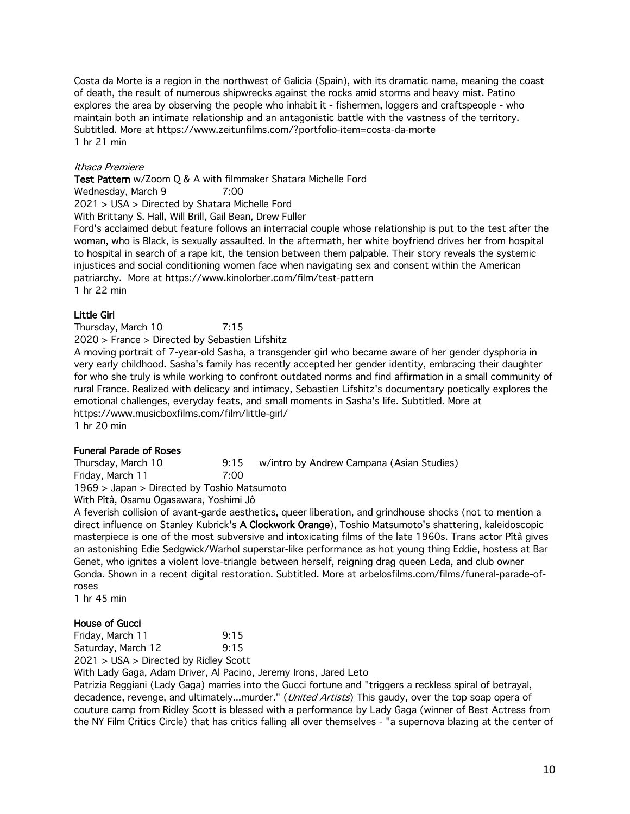Costa da Morte is a region in the northwest of Galicia (Spain), with its dramatic name, meaning the coast of death, the result of numerous shipwrecks against the rocks amid storms and heavy mist. Patino explores the area by observing the people who inhabit it - fishermen, loggers and craftspeople - who maintain both an intimate relationship and an antagonistic battle with the vastness of the territory. Subtitled. More at https://www.zeitunfilms.com/?portfolio-item=costa-da-morte 1 hr 21 min

# Ithaca Premiere

Test Pattern w/Zoom Q & A with filmmaker Shatara Michelle Ford

Wednesday, March 9 7:00

2021 > USA > Directed by Shatara Michelle Ford

With Brittany S. Hall, Will Brill, Gail Bean, Drew Fuller

Ford's acclaimed debut feature follows an interracial couple whose relationship is put to the test after the woman, who is Black, is sexually assaulted. In the aftermath, her white boyfriend drives her from hospital to hospital in search of a rape kit, the tension between them palpable. Their story reveals the systemic injustices and social conditioning women face when navigating sex and consent within the American patriarchy. More at https://www.kinolorber.com/film/test-pattern 1 hr 22 min

### Little Girl

Thursday, March 10 7:15

2020 > France > Directed by Sebastien Lifshitz

A moving portrait of 7-year-old Sasha, a transgender girl who became aware of her gender dysphoria in very early childhood. Sasha's family has recently accepted her gender identity, embracing their daughter for who she truly is while working to confront outdated norms and find affirmation in a small community of rural France. Realized with delicacy and intimacy, Sebastien Lifshitz's documentary poetically explores the emotional challenges, everyday feats, and small moments in Sasha's life. Subtitled. More at https://www.musicboxfilms.com/film/little-girl/ 1 hr 20 min

#### Funeral Parade of Roses

Thursday, March 10 9:15 w/intro by Andrew Campana (Asian Studies) Friday, March 11 7:00

1969 > Japan > Directed by Toshio Matsumoto

With Pîtâ, Osamu Ogasawara, Yoshimi Jô

A feverish collision of avant-garde aesthetics, queer liberation, and grindhouse shocks (not to mention a direct influence on Stanley Kubrick's A Clockwork Orange), Toshio Matsumoto's shattering, kaleidoscopic masterpiece is one of the most subversive and intoxicating films of the late 1960s. Trans actor Pîtâ gives an astonishing Edie Sedgwick/Warhol superstar-like performance as hot young thing Eddie, hostess at Bar Genet, who ignites a violent love-triangle between herself, reigning drag queen Leda, and club owner Gonda. Shown in a recent digital restoration. Subtitled. More at arbelosfilms.com/films/funeral-parade-ofroses

1 hr 45 min

# House of Gucci

Friday, March 11 9:15 Saturday, March 12 9:15 2021 > USA > Directed by Ridley Scott

With Lady Gaga, Adam Driver, Al Pacino, Jeremy Irons, Jared Leto

Patrizia Reggiani (Lady Gaga) marries into the Gucci fortune and "triggers a reckless spiral of betrayal, decadence, revenge, and ultimately...murder." (*United Artists*) This gaudy, over the top soap opera of couture camp from Ridley Scott is blessed with a performance by Lady Gaga (winner of Best Actress from the NY Film Critics Circle) that has critics falling all over themselves - "a supernova blazing at the center of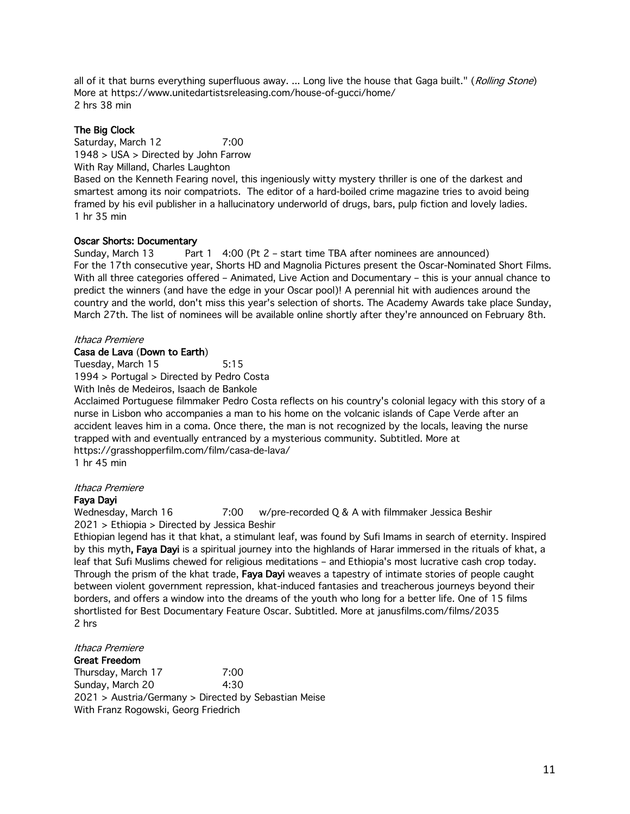all of it that burns everything superfluous away. ... Long live the house that Gaga built." (Rolling Stone) More at https://www.unitedartistsreleasing.com/house-of-gucci/home/ 2 hrs 38 min

# The Big Clock

1 hr 35 min

Saturday, March 12 7:00 1948 > USA > Directed by John Farrow With Ray Milland, Charles Laughton Based on the Kenneth Fearing novel, this ingeniously witty mystery thriller is one of the darkest and smartest among its noir compatriots. The editor of a hard-boiled crime magazine tries to avoid being framed by his evil publisher in a hallucinatory underworld of drugs, bars, pulp fiction and lovely ladies.

# Oscar Shorts: Documentary

Sunday, March 13 Part 1 4:00 (Pt 2 – start time TBA after nominees are announced) For the 17th consecutive year, Shorts HD and Magnolia Pictures present the Oscar-Nominated Short Films. With all three categories offered – Animated, Live Action and Documentary – this is your annual chance to predict the winners (and have the edge in your Oscar pool)! A perennial hit with audiences around the country and the world, don't miss this year's selection of shorts. The Academy Awards take place Sunday, March 27th. The list of nominees will be available online shortly after they're announced on February 8th.

# Ithaca Premiere

# Casa de Lava (Down to Earth)

Tuesday, March 15 5:15

1994 > Portugal > Directed by Pedro Costa

With Inês de Medeiros, Isaach de Bankole

Acclaimed Portuguese filmmaker Pedro Costa reflects on his country's colonial legacy with this story of a nurse in Lisbon who accompanies a man to his home on the volcanic islands of Cape Verde after an accident leaves him in a coma. Once there, the man is not recognized by the locals, leaving the nurse trapped with and eventually entranced by a mysterious community. Subtitled. More at https://grasshopperfilm.com/film/casa-de-lava/

1 hr 45 min

# Ithaca Premiere

# Faya Dayi

Wednesday, March 16 7:00 w/pre-recorded Q & A with filmmaker Jessica Beshir 2021 > Ethiopia > Directed by Jessica Beshir

Ethiopian legend has it that khat, a stimulant leaf, was found by Sufi Imams in search of eternity. Inspired by this myth, Faya Dayi is a spiritual journey into the highlands of Harar immersed in the rituals of khat, a leaf that Sufi Muslims chewed for religious meditations – and Ethiopia's most lucrative cash crop today. Through the prism of the khat trade, Faya Dayi weaves a tapestry of intimate stories of people caught between violent government repression, khat-induced fantasies and treacherous journeys beyond their borders, and offers a window into the dreams of the youth who long for a better life. One of 15 films shortlisted for Best Documentary Feature Oscar. Subtitled. More at janusfilms.com/films/2035 2 hrs

# Ithaca Premiere

Great Freedom Thursday, March 17 7:00 Sunday, March 20 4:30 2021 > Austria/Germany > Directed by Sebastian Meise With Franz Rogowski, Georg Friedrich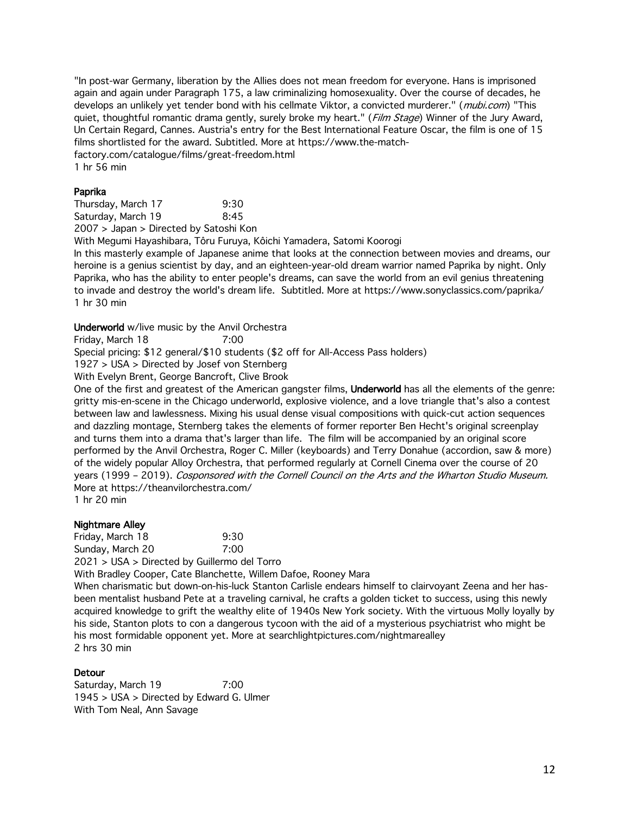"In post-war Germany, liberation by the Allies does not mean freedom for everyone. Hans is imprisoned again and again under Paragraph 175, a law criminalizing homosexuality. Over the course of decades, he develops an unlikely yet tender bond with his cellmate Viktor, a convicted murderer." (mubi.com) "This quiet, thoughtful romantic drama gently, surely broke my heart." (Film Stage) Winner of the Jury Award, Un Certain Regard, Cannes. Austria's entry for the Best International Feature Oscar, the film is one of 15 films shortlisted for the award. Subtitled. More at https://www.the-matchfactory.com/catalogue/films/great-freedom.html

1 hr 56 min

#### Paprika

Thursday, March 17 9:30 Saturday, March 19 8:45 2007 > Japan > Directed by Satoshi Kon

With Megumi Hayashibara, Tôru Furuya, Kôichi Yamadera, Satomi Koorogi

In this masterly example of Japanese anime that looks at the connection between movies and dreams, our heroine is a genius scientist by day, and an eighteen-year-old dream warrior named Paprika by night. Only Paprika, who has the ability to enter people's dreams, can save the world from an evil genius threatening to invade and destroy the world's dream life. Subtitled. More at https://www.sonyclassics.com/paprika/ 1 hr 30 min

Underworld w/live music by the Anvil Orchestra

Friday, March 18 7:00

Special pricing: \$12 general/\$10 students (\$2 off for All-Access Pass holders)

1927 > USA > Directed by Josef von Sternberg

With Evelyn Brent, George Bancroft, Clive Brook

One of the first and greatest of the American gangster films, Underworld has all the elements of the genre: gritty mis-en-scene in the Chicago underworld, explosive violence, and a love triangle that's also a contest between law and lawlessness. Mixing his usual dense visual compositions with quick-cut action sequences and dazzling montage, Sternberg takes the elements of former reporter Ben Hecht's original screenplay and turns them into a drama that's larger than life. The film will be accompanied by an original score performed by the Anvil Orchestra, Roger C. Miller (keyboards) and Terry Donahue (accordion, saw & more) of the widely popular Alloy Orchestra, that performed regularly at Cornell Cinema over the course of 20 years (1999 – 2019). Cosponsored with the Cornell Council on the Arts and the Wharton Studio Museum. More at https://theanvilorchestra.com/

1 hr 20 min

### Nightmare Alley

Friday, March 18 9:30 Sunday, March 20 7:00 2021 > USA > Directed by Guillermo del Torro

With Bradley Cooper, Cate Blanchette, Willem Dafoe, Rooney Mara

When charismatic but down-on-his-luck Stanton Carlisle endears himself to clairvoyant Zeena and her hasbeen mentalist husband Pete at a traveling carnival, he crafts a golden ticket to success, using this newly acquired knowledge to grift the wealthy elite of 1940s New York society. With the virtuous Molly loyally by his side, Stanton plots to con a dangerous tycoon with the aid of a mysterious psychiatrist who might be his most formidable opponent yet. More at searchlightpictures.com/nightmarealley 2 hrs 30 min

# Detour

Saturday, March 19 7:00 1945 > USA > Directed by Edward G. Ulmer With Tom Neal, Ann Savage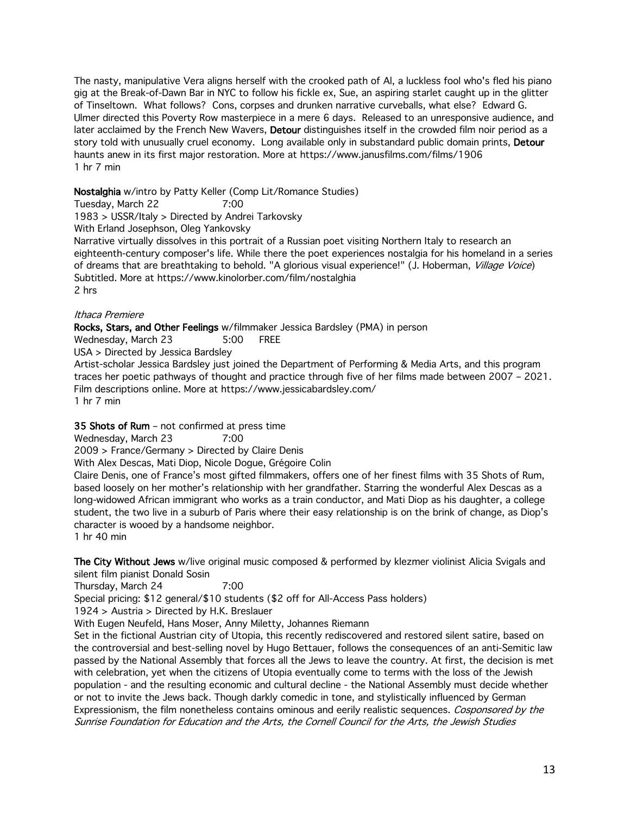The nasty, manipulative Vera aligns herself with the crooked path of Al, a luckless fool who's fled his piano gig at the Break-of-Dawn Bar in NYC to follow his fickle ex, Sue, an aspiring starlet caught up in the glitter of Tinseltown. What follows? Cons, corpses and drunken narrative curveballs, what else? Edward G. Ulmer directed this Poverty Row masterpiece in a mere 6 days. Released to an unresponsive audience, and later acclaimed by the French New Wavers, Detour distinguishes itself in the crowded film noir period as a story told with unusually cruel economy. Long available only in substandard public domain prints, Detour haunts anew in its first major restoration. More at https://www.janusfilms.com/films/1906 1 hr 7 min

# Nostalghia w/intro by Patty Keller (Comp Lit/Romance Studies)

Tuesday, March 22 7:00

1983 > USSR/Italy > Directed by Andrei Tarkovsky

With Erland Josephson, Oleg Yankovsky

Narrative virtually dissolves in this portrait of a Russian poet visiting Northern Italy to research an eighteenth-century composer's life. While there the poet experiences nostalgia for his homeland in a series of dreams that are breathtaking to behold. "A glorious visual experience!" (J. Hoberman, Village Voice) Subtitled. More at https://www.kinolorber.com/film/nostalghia 2 hrs

### Ithaca Premiere

Rocks, Stars, and Other Feelings w/filmmaker Jessica Bardsley (PMA) in person Wednesday, March 23 5:00 FREE USA > Directed by Jessica Bardsley Artist-scholar Jessica Bardsley just joined the Department of Performing & Media Arts, and this program traces her poetic pathways of thought and practice through five of her films made between 2007 – 2021. Film descriptions online. More at https://www.jessicabardsley.com/ 1 hr 7 min

# 35 Shots of Rum – not confirmed at press time

Wednesday, March 23 7:00

2009 > France/Germany > Directed by Claire Denis

With Alex Descas, Mati Diop, Nicole Dogue, Grégoire Colin

Claire Denis, one of France's most gifted filmmakers, offers one of her finest films with 35 Shots of Rum, based loosely on her mother's relationship with her grandfather. Starring the wonderful Alex Descas as a long-widowed African immigrant who works as a train conductor, and Mati Diop as his daughter, a college student, the two live in a suburb of Paris where their easy relationship is on the brink of change, as Diop's character is wooed by a handsome neighbor.

1 hr 40 min

The City Without Jews w/live original music composed & performed by klezmer violinist Alicia Svigals and silent film pianist Donald Sosin

Thursday, March 24 7:00

Special pricing: \$12 general/\$10 students (\$2 off for All-Access Pass holders)

1924 > Austria > Directed by H.K. Breslauer

With Eugen Neufeld, Hans Moser, Anny Miletty, Johannes Riemann

Set in the fictional Austrian city of Utopia, this recently rediscovered and restored silent satire, based on the controversial and best-selling novel by Hugo Bettauer, follows the consequences of an anti-Semitic law passed by the National Assembly that forces all the Jews to leave the country. At first, the decision is met with celebration, yet when the citizens of Utopia eventually come to terms with the loss of the Jewish population - and the resulting economic and cultural decline - the National Assembly must decide whether or not to invite the Jews back. Though darkly comedic in tone, and stylistically influenced by German Expressionism, the film nonetheless contains ominous and eerily realistic sequences. Cosponsored by the Sunrise Foundation for Education and the Arts, the Cornell Council for the Arts, the Jewish Studies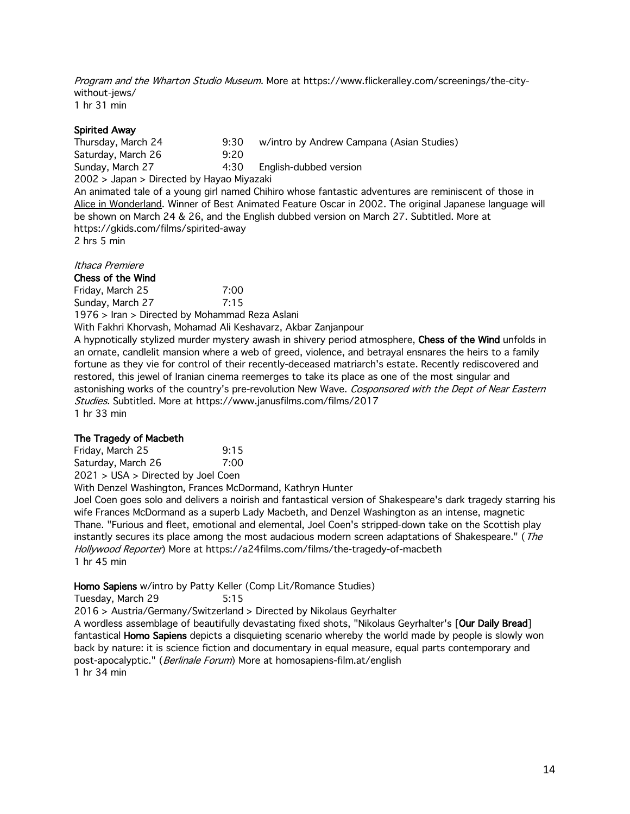Program and the Wharton Studio Museum. More at https://www.flickeralley.com/screenings/the-citywithout-jews/ 1 hr 31 min

# Spirited Away

Thursday, March 24 9:30 w/intro by Andrew Campana (Asian Studies) Saturday, March 26 9:20 Sunday, March 27 4:30 English-dubbed version 2002 > Japan > Directed by Hayao Miyazaki An animated tale of a young girl named Chihiro whose fantastic adventures are reminiscent of those in Alice in Wonderland. Winner of Best Animated Feature Oscar in 2002. The original Japanese language will be shown on March 24 & 26, and the English dubbed version on March 27. Subtitled. More at https://gkids.com/films/spirited-away 2 hrs 5 min

Ithaca Premiere

Chess of the Wind

Friday, March 25 7:00 Sunday, March 27 7:15

1976 > Iran > Directed by Mohammad Reza Aslani

With Fakhri Khorvash, Mohamad Ali Keshavarz, Akbar Zanjanpour

A hypnotically stylized murder mystery awash in shivery period atmosphere, Chess of the Wind unfolds in an ornate, candlelit mansion where a web of greed, violence, and betrayal ensnares the heirs to a family fortune as they vie for control of their recently-deceased matriarch's estate. Recently rediscovered and restored, this jewel of Iranian cinema reemerges to take its place as one of the most singular and astonishing works of the country's pre-revolution New Wave. Cosponsored with the Dept of Near Eastern Studies. Subtitled. More at https://www.janusfilms.com/films/2017 1 hr 33 min

# The Tragedy of Macbeth

Friday, March 25 9:15 Saturday, March 26 7:00 2021 > USA > Directed by Joel Coen

With Denzel Washington, Frances McDormand, Kathryn Hunter

Joel Coen goes solo and delivers a noirish and fantastical version of Shakespeare's dark tragedy starring his wife Frances McDormand as a superb Lady Macbeth, and Denzel Washington as an intense, magnetic Thane. "Furious and fleet, emotional and elemental, Joel Coen's stripped-down take on the Scottish play instantly secures its place among the most audacious modern screen adaptations of Shakespeare." (The Hollywood Reporter) More at https://a24films.com/films/the-tragedy-of-macbeth 1 hr 45 min

# Homo Sapiens w/intro by Patty Keller (Comp Lit/Romance Studies)

Tuesday, March 29 5:15 2016 > Austria/Germany/Switzerland > Directed by Nikolaus Geyrhalter A wordless assemblage of beautifully devastating fixed shots, "Nikolaus Geyrhalter's [Our Daily Bread] fantastical **Homo Sapiens** depicts a disquieting scenario whereby the world made by people is slowly won back by nature: it is science fiction and documentary in equal measure, equal parts contemporary and post-apocalyptic." (Berlinale Forum) More at homosapiens-film.at/english 1 hr 34 min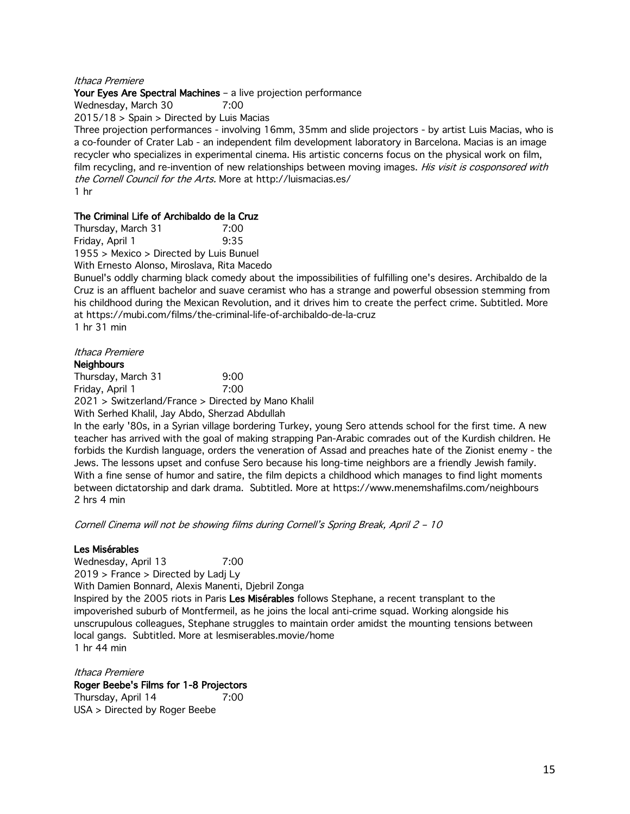#### Ithaca Premiere

#### Your Eyes Are Spectral Machines - a live projection performance

Wednesday, March 30 7:00

2015/18 > Spain > Directed by Luis Macias

Three projection performances - involving 16mm, 35mm and slide projectors - by artist Luis Macias, who is a co-founder of Crater Lab - an independent film development laboratory in Barcelona. Macias is an image recycler who specializes in experimental cinema. His artistic concerns focus on the physical work on film, film recycling, and re-invention of new relationships between moving images. His visit is cosponsored with the Cornell Council for the Arts. More at http://luismacias.es/ 1 hr

### The Criminal Life of Archibaldo de la Cruz

Thursday, March 31 7:00 Friday, April 1 9:35

1955 > Mexico > Directed by Luis Bunuel

With Ernesto Alonso, Miroslava, Rita Macedo

Bunuel's oddly charming black comedy about the impossibilities of fulfilling one's desires. Archibaldo de la Cruz is an affluent bachelor and suave ceramist who has a strange and powerful obsession stemming from his childhood during the Mexican Revolution, and it drives him to create the perfect crime. Subtitled. More at https://mubi.com/films/the-criminal-life-of-archibaldo-de-la-cruz 1 hr 31 min

Ithaca Premiere

#### **Neighbours**

Thursday, March 31 9:00 Friday, April 1 7:00

2021 > Switzerland/France > Directed by Mano Khalil

With Serhed Khalil, Jay Abdo, Sherzad Abdullah

In the early '80s, in a Syrian village bordering Turkey, young Sero attends school for the first time. A new teacher has arrived with the goal of making strapping Pan-Arabic comrades out of the Kurdish children. He forbids the Kurdish language, orders the veneration of Assad and preaches hate of the Zionist enemy - the Jews. The lessons upset and confuse Sero because his long-time neighbors are a friendly Jewish family. With a fine sense of humor and satire, the film depicts a childhood which manages to find light moments between dictatorship and dark drama. Subtitled. More at https://www.menemshafilms.com/neighbours 2 hrs 4 min

Cornell Cinema will not be showing films during Cornell's Spring Break, April 2 – 10

#### Les Misérables

Wednesday, April 13 7:00 2019 > France > Directed by Ladj Ly With Damien Bonnard, Alexis Manenti, Djebril Zonga Inspired by the 2005 riots in Paris Les Misérables follows Stephane, a recent transplant to the impoverished suburb of Montfermeil, as he joins the local anti-crime squad. Working alongside his unscrupulous colleagues, Stephane struggles to maintain order amidst the mounting tensions between local gangs. Subtitled. More at lesmiserables.movie/home 1 hr 44 min

Ithaca Premiere Roger Beebe's Films for 1-8 Projectors Thursday, April 14 7:00 USA > Directed by Roger Beebe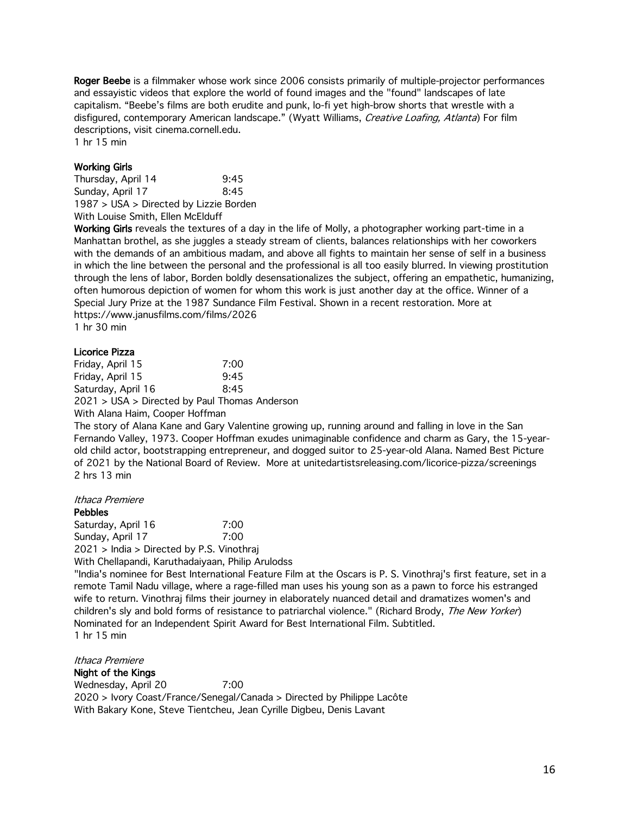Roger Beebe is a filmmaker whose work since 2006 consists primarily of multiple-projector performances and essayistic videos that explore the world of found images and the "found" landscapes of late capitalism. "Beebe's films are both erudite and punk, lo-fi yet high-brow shorts that wrestle with a disfigured, contemporary American landscape." (Wyatt Williams, Creative Loafing, Atlanta) For film descriptions, visit cinema.cornell.edu.

1 hr 15 min

### Working Girls

Thursday, April 14 9:45 Sunday, April 17 8:45 1987 > USA > Directed by Lizzie Borden With Louise Smith, Ellen McElduff

Working Girls reveals the textures of a day in the life of Molly, a photographer working part-time in a Manhattan brothel, as she juggles a steady stream of clients, balances relationships with her coworkers with the demands of an ambitious madam, and above all fights to maintain her sense of self in a business in which the line between the personal and the professional is all too easily blurred. In viewing prostitution through the lens of labor, Borden boldly desensationalizes the subject, offering an empathetic, humanizing, often humorous depiction of women for whom this work is just another day at the office. Winner of a Special Jury Prize at the 1987 Sundance Film Festival. Shown in a recent restoration. More at https://www.janusfilms.com/films/2026 1 hr 30 min

### Licorice Pizza

| Friday, April 15   | 7:00                                          |
|--------------------|-----------------------------------------------|
| Friday, April 15   | 9:45                                          |
| Saturday, April 16 | 8:45                                          |
|                    | 2021 > USA > Directed by Paul Thomas Anderson |
|                    |                                               |

With Alana Haim, Cooper Hoffman

The story of Alana Kane and Gary Valentine growing up, running around and falling in love in the San Fernando Valley, 1973. Cooper Hoffman exudes unimaginable confidence and charm as Gary, the 15-yearold child actor, bootstrapping entrepreneur, and dogged suitor to 25-year-old Alana. Named Best Picture of 2021 by the National Board of Review. More at unitedartistsreleasing.com/licorice-pizza/screenings 2 hrs 13 min

Ithaca Premiere Pebbles Saturday, April 16 7:00 Sunday, April 17 7:00 2021 > India > Directed by P.S. Vinothraj With Chellapandi, Karuthadaiyaan, Philip Arulodss "India's nominee for Best International Feature Film at the Oscars is P. S. Vinothraj's first feature, set in a remote Tamil Nadu village, where a rage-filled man uses his young son as a pawn to force his estranged wife to return. Vinothraj films their journey in elaborately nuanced detail and dramatizes women's and children's sly and bold forms of resistance to patriarchal violence." (Richard Brody, The New Yorker) Nominated for an Independent Spirit Award for Best International Film. Subtitled. 1 hr 15 min

Ithaca Premiere Night of the Kings Wednesday, April 20 7:00 2020 > Ivory Coast/France/Senegal/Canada > Directed by Philippe Lacôte With Bakary Kone, Steve Tientcheu, Jean Cyrille Digbeu, Denis Lavant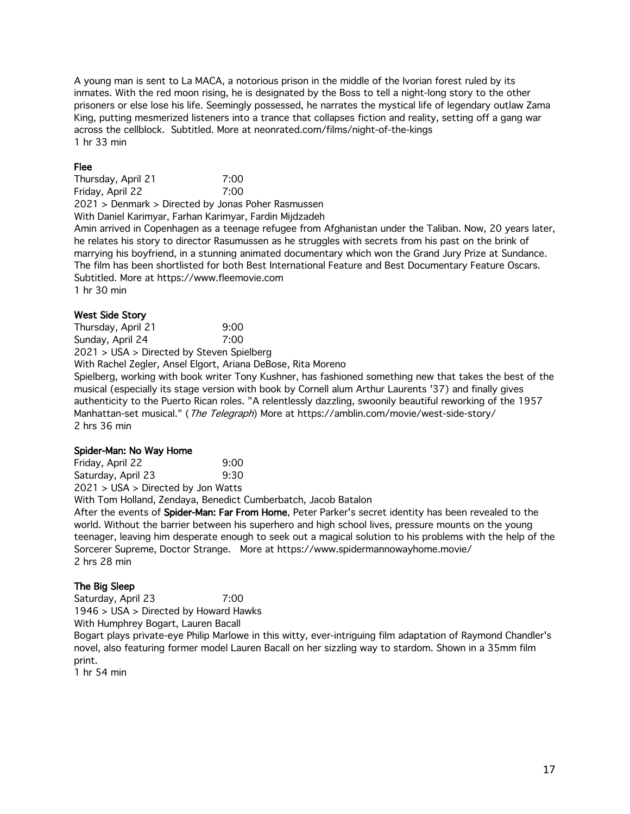A young man is sent to La MACA, a notorious prison in the middle of the Ivorian forest ruled by its inmates. With the red moon rising, he is designated by the Boss to tell a night-long story to the other prisoners or else lose his life. Seemingly possessed, he narrates the mystical life of legendary outlaw Zama King, putting mesmerized listeners into a trance that collapses fiction and reality, setting off a gang war across the cellblock. Subtitled. More at neonrated.com/films/night-of-the-kings 1 hr 33 min

# Flee

Thursday, April 21 7:00 Friday, April 22 7:00 2021 > Denmark > Directed by Jonas Poher Rasmussen

With Daniel Karimyar, Farhan Karimyar, Fardin Mijdzadeh

Amin arrived in Copenhagen as a teenage refugee from Afghanistan under the Taliban. Now, 20 years later, he relates his story to director Rasumussen as he struggles with secrets from his past on the brink of marrying his boyfriend, in a stunning animated documentary which won the Grand Jury Prize at Sundance. The film has been shortlisted for both Best International Feature and Best Documentary Feature Oscars. Subtitled. More at https://www.fleemovie.com 1 hr 30 min

# West Side Story

Thursday, April 21 9:00 Sunday, April 24 7:00 2021 > USA > Directed by Steven Spielberg

With Rachel Zegler, Ansel Elgort, Ariana DeBose, Rita Moreno

Spielberg, working with book writer Tony Kushner, has fashioned something new that takes the best of the musical (especially its stage version with book by Cornell alum Arthur Laurents '37) and finally gives authenticity to the Puerto Rican roles. "A relentlessly dazzling, swoonily beautiful reworking of the 1957 Manhattan-set musical." (The Telegraph) More at https://amblin.com/movie/west-side-story/ 2 hrs 36 min

# Spider-Man: No Way Home

| Friday, April 22                   | 9:00 |
|------------------------------------|------|
| Saturday, April 23                 | 9:30 |
| 2021 > USA > Directed by Jon Watts |      |

With Tom Holland, Zendaya, Benedict Cumberbatch, Jacob Batalon

After the events of Spider-Man: Far From Home, Peter Parker's secret identity has been revealed to the world. Without the barrier between his superhero and high school lives, pressure mounts on the young teenager, leaving him desperate enough to seek out a magical solution to his problems with the help of the Sorcerer Supreme, Doctor Strange. More at https://www.spidermannowayhome.movie/ 2 hrs 28 min

# The Big Sleep

Saturday, April 23 7:00 1946 > USA > Directed by Howard Hawks

With Humphrey Bogart, Lauren Bacall

Bogart plays private-eye Philip Marlowe in this witty, ever-intriguing film adaptation of Raymond Chandler's novel, also featuring former model Lauren Bacall on her sizzling way to stardom. Shown in a 35mm film print.

1 hr 54 min